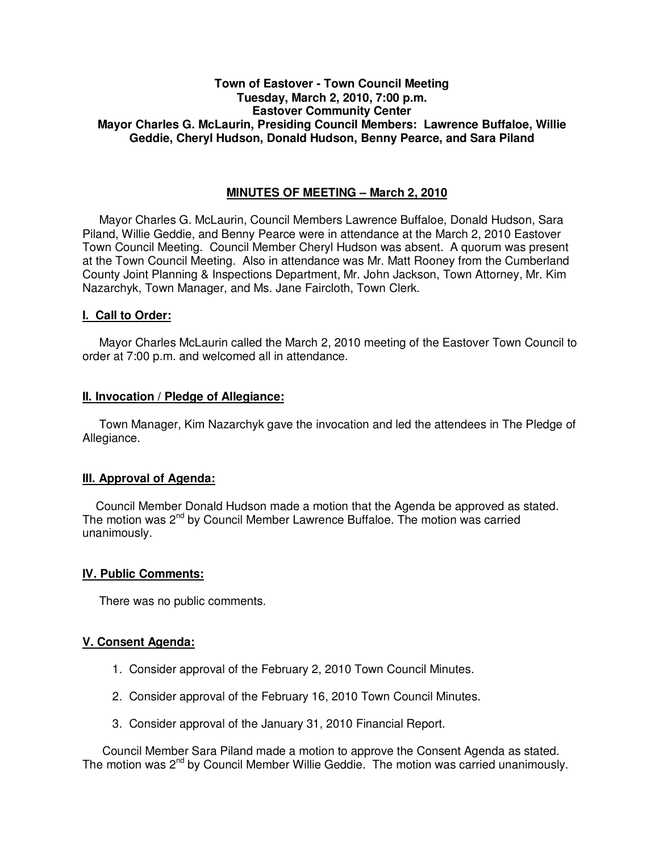## **Town of Eastover - Town Council Meeting Tuesday, March 2, 2010, 7:00 p.m. Eastover Community Center Mayor Charles G. McLaurin, Presiding Council Members: Lawrence Buffaloe, Willie Geddie, Cheryl Hudson, Donald Hudson, Benny Pearce, and Sara Piland**

## **MINUTES OF MEETING – March 2, 2010**

Mayor Charles G. McLaurin, Council Members Lawrence Buffaloe, Donald Hudson, Sara Piland, Willie Geddie, and Benny Pearce were in attendance at the March 2, 2010 Eastover Town Council Meeting. Council Member Cheryl Hudson was absent. A quorum was present at the Town Council Meeting. Also in attendance was Mr. Matt Rooney from the Cumberland County Joint Planning & Inspections Department, Mr. John Jackson, Town Attorney, Mr. Kim Nazarchyk, Town Manager, and Ms. Jane Faircloth, Town Clerk.

### **I. Call to Order:**

Mayor Charles McLaurin called the March 2, 2010 meeting of the Eastover Town Council to order at 7:00 p.m. and welcomed all in attendance.

#### **II. Invocation / Pledge of Allegiance:**

 Town Manager, Kim Nazarchyk gave the invocation and led the attendees in The Pledge of Allegiance.

### **III. Approval of Agenda:**

 Council Member Donald Hudson made a motion that the Agenda be approved as stated. The motion was 2<sup>nd</sup> by Council Member Lawrence Buffaloe. The motion was carried unanimously.

### **IV. Public Comments:**

There was no public comments.

### **V. Consent Agenda:**

- 1. Consider approval of the February 2, 2010 Town Council Minutes.
- 2. Consider approval of the February 16, 2010 Town Council Minutes.
- 3. Consider approval of the January 31, 2010 Financial Report.

 Council Member Sara Piland made a motion to approve the Consent Agenda as stated. The motion was  $2^{nd}$  by Council Member Willie Geddie. The motion was carried unanimously.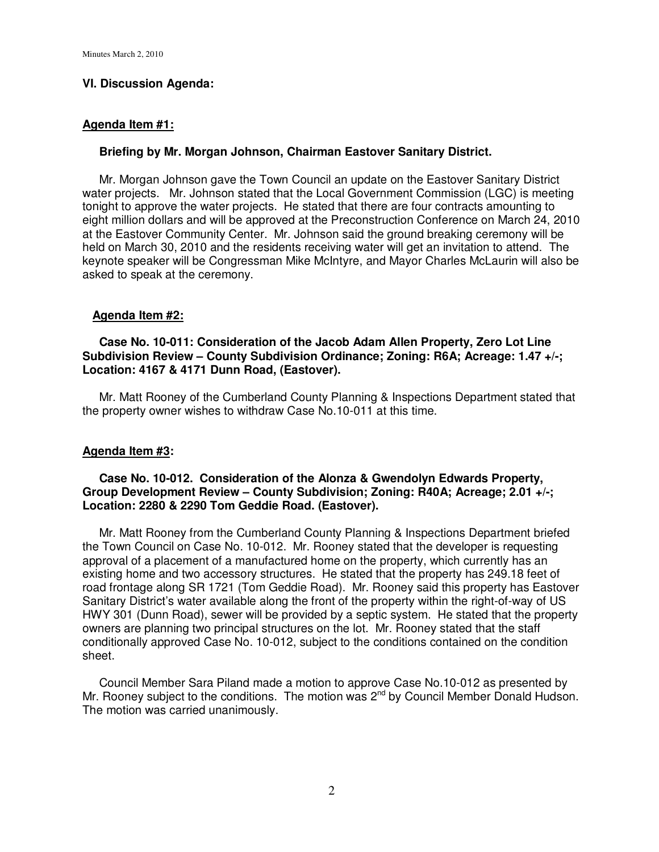## **VI. Discussion Agenda:**

### **Agenda Item #1:**

#### **Briefing by Mr. Morgan Johnson, Chairman Eastover Sanitary District.**

 Mr. Morgan Johnson gave the Town Council an update on the Eastover Sanitary District water projects. Mr. Johnson stated that the Local Government Commission (LGC) is meeting tonight to approve the water projects. He stated that there are four contracts amounting to eight million dollars and will be approved at the Preconstruction Conference on March 24, 2010 at the Eastover Community Center. Mr. Johnson said the ground breaking ceremony will be held on March 30, 2010 and the residents receiving water will get an invitation to attend. The keynote speaker will be Congressman Mike McIntyre, and Mayor Charles McLaurin will also be asked to speak at the ceremony.

### **Agenda Item #2:**

### **Case No. 10-011: Consideration of the Jacob Adam Allen Property, Zero Lot Line Subdivision Review – County Subdivision Ordinance; Zoning: R6A; Acreage: 1.47 +/-; Location: 4167 & 4171 Dunn Road, (Eastover).**

 Mr. Matt Rooney of the Cumberland County Planning & Inspections Department stated that the property owner wishes to withdraw Case No.10-011 at this time.

### **Agenda Item #3:**

### **Case No. 10-012. Consideration of the Alonza & Gwendolyn Edwards Property, Group Development Review – County Subdivision; Zoning: R40A; Acreage; 2.01 +/-; Location: 2280 & 2290 Tom Geddie Road. (Eastover).**

 Mr. Matt Rooney from the Cumberland County Planning & Inspections Department briefed the Town Council on Case No. 10-012. Mr. Rooney stated that the developer is requesting approval of a placement of a manufactured home on the property, which currently has an existing home and two accessory structures. He stated that the property has 249.18 feet of road frontage along SR 1721 (Tom Geddie Road). Mr. Rooney said this property has Eastover Sanitary District's water available along the front of the property within the right-of-way of US HWY 301 (Dunn Road), sewer will be provided by a septic system. He stated that the property owners are planning two principal structures on the lot. Mr. Rooney stated that the staff conditionally approved Case No. 10-012, subject to the conditions contained on the condition sheet.

 Council Member Sara Piland made a motion to approve Case No.10-012 as presented by Mr. Rooney subject to the conditions. The motion was 2<sup>nd</sup> by Council Member Donald Hudson. The motion was carried unanimously.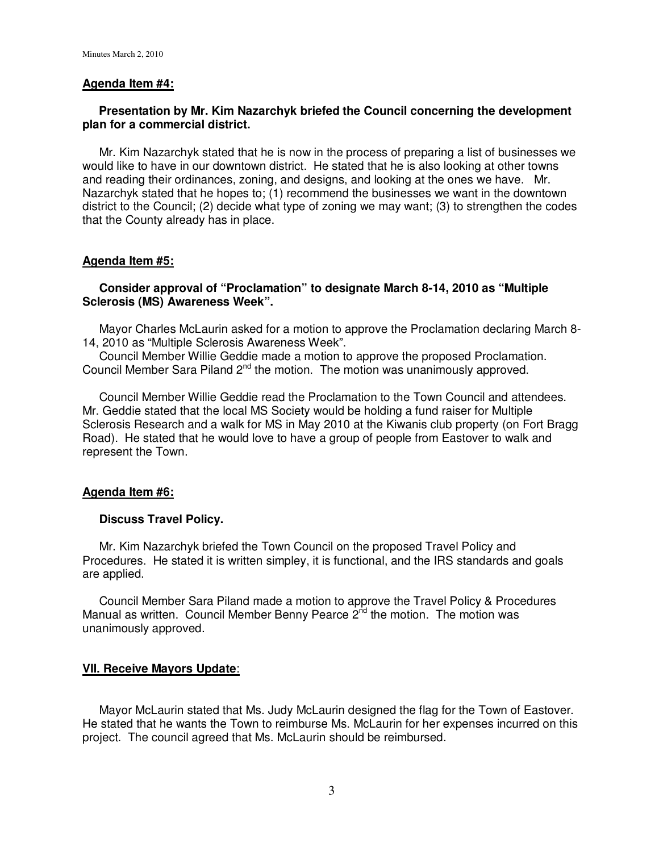### **Agenda Item #4:**

## **Presentation by Mr. Kim Nazarchyk briefed the Council concerning the development plan for a commercial district.**

 Mr. Kim Nazarchyk stated that he is now in the process of preparing a list of businesses we would like to have in our downtown district. He stated that he is also looking at other towns and reading their ordinances, zoning, and designs, and looking at the ones we have. Mr. Nazarchyk stated that he hopes to; (1) recommend the businesses we want in the downtown district to the Council; (2) decide what type of zoning we may want; (3) to strengthen the codes that the County already has in place.

## **Agenda Item #5:**

## **Consider approval of "Proclamation" to designate March 8-14, 2010 as "Multiple Sclerosis (MS) Awareness Week".**

 Mayor Charles McLaurin asked for a motion to approve the Proclamation declaring March 8- 14, 2010 as "Multiple Sclerosis Awareness Week".

 Council Member Willie Geddie made a motion to approve the proposed Proclamation. Council Member Sara Piland 2<sup>nd</sup> the motion. The motion was unanimously approved.

 Council Member Willie Geddie read the Proclamation to the Town Council and attendees. Mr. Geddie stated that the local MS Society would be holding a fund raiser for Multiple Sclerosis Research and a walk for MS in May 2010 at the Kiwanis club property (on Fort Bragg Road). He stated that he would love to have a group of people from Eastover to walk and represent the Town.

### **Agenda Item #6:**

### **Discuss Travel Policy.**

 Mr. Kim Nazarchyk briefed the Town Council on the proposed Travel Policy and Procedures. He stated it is written simpley, it is functional, and the IRS standards and goals are applied.

 Council Member Sara Piland made a motion to approve the Travel Policy & Procedures Manual as written. Council Member Benny Pearce  $2<sup>nd</sup>$  the motion. The motion was unanimously approved.

# **VII. Receive Mayors Update**:

 Mayor McLaurin stated that Ms. Judy McLaurin designed the flag for the Town of Eastover. He stated that he wants the Town to reimburse Ms. McLaurin for her expenses incurred on this project. The council agreed that Ms. McLaurin should be reimbursed.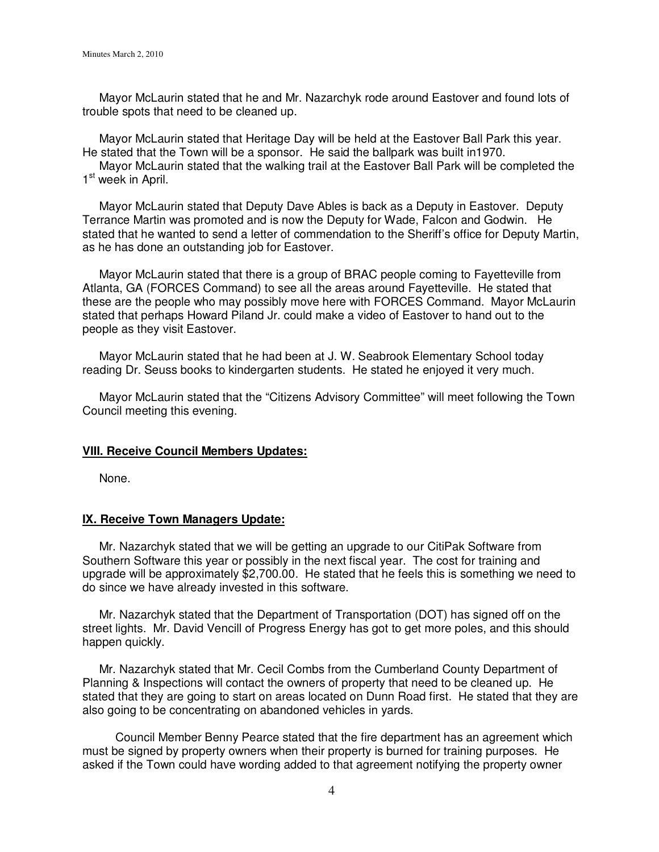Mayor McLaurin stated that he and Mr. Nazarchyk rode around Eastover and found lots of trouble spots that need to be cleaned up.

 Mayor McLaurin stated that Heritage Day will be held at the Eastover Ball Park this year. He stated that the Town will be a sponsor. He said the ballpark was built in1970.

 Mayor McLaurin stated that the walking trail at the Eastover Ball Park will be completed the 1<sup>st</sup> week in April.

 Mayor McLaurin stated that Deputy Dave Ables is back as a Deputy in Eastover. Deputy Terrance Martin was promoted and is now the Deputy for Wade, Falcon and Godwin. He stated that he wanted to send a letter of commendation to the Sheriff's office for Deputy Martin, as he has done an outstanding job for Eastover.

 Mayor McLaurin stated that there is a group of BRAC people coming to Fayetteville from Atlanta, GA (FORCES Command) to see all the areas around Fayetteville. He stated that these are the people who may possibly move here with FORCES Command. Mayor McLaurin stated that perhaps Howard Piland Jr. could make a video of Eastover to hand out to the people as they visit Eastover.

 Mayor McLaurin stated that he had been at J. W. Seabrook Elementary School today reading Dr. Seuss books to kindergarten students. He stated he enjoyed it very much.

 Mayor McLaurin stated that the "Citizens Advisory Committee" will meet following the Town Council meeting this evening.

### **VIII. Receive Council Members Updates:**

None.

### **IX. Receive Town Managers Update:**

 Mr. Nazarchyk stated that we will be getting an upgrade to our CitiPak Software from Southern Software this year or possibly in the next fiscal year. The cost for training and upgrade will be approximately \$2,700.00. He stated that he feels this is something we need to do since we have already invested in this software.

 Mr. Nazarchyk stated that the Department of Transportation (DOT) has signed off on the street lights. Mr. David Vencill of Progress Energy has got to get more poles, and this should happen quickly.

 Mr. Nazarchyk stated that Mr. Cecil Combs from the Cumberland County Department of Planning & Inspections will contact the owners of property that need to be cleaned up. He stated that they are going to start on areas located on Dunn Road first. He stated that they are also going to be concentrating on abandoned vehicles in yards.

 Council Member Benny Pearce stated that the fire department has an agreement which must be signed by property owners when their property is burned for training purposes. He asked if the Town could have wording added to that agreement notifying the property owner